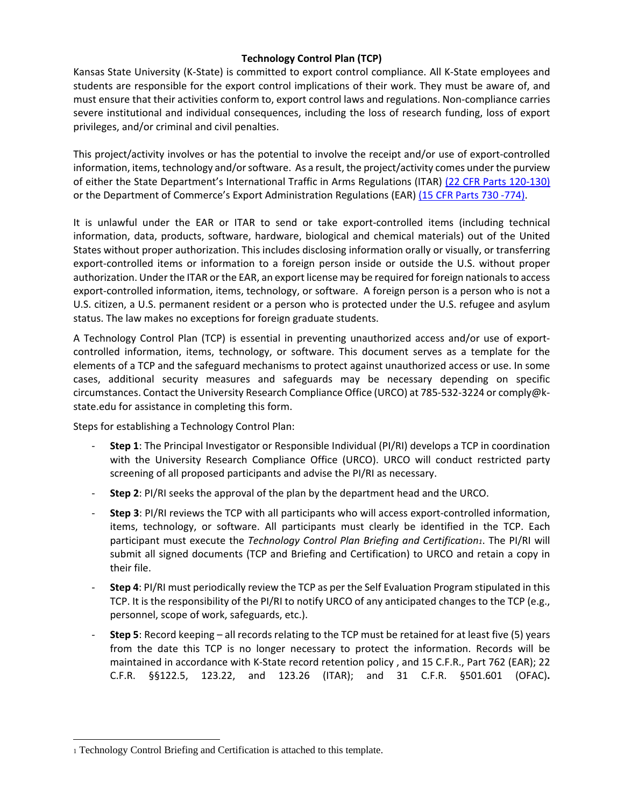## **Technology Control Plan (TCP)**

Kansas State University (K‐State) is committed to export control compliance. All K‐State employees and students are responsible for the export control implications of their work. They must be aware of, and must ensure that their activities conform to, export control laws and regulations. Non‐compliance carries severe institutional and individual consequences, including the loss of research funding, loss of export privileges, and/or criminal and civil penalties.

This project/activity involves or has the potential to involve the receipt and/or use of export‐controlled information, items, technology and/orsoftware. As a result, the project/activity comes under the purview of either the State Department's International Traffic in Arms Regulations (ITAR) (22 CFR Parts 120‐130) or the Department of Commerce's Export Administration Regulations (EAR) (15 CFR Parts 730 ‐774).

It is unlawful under the EAR or ITAR to send or take export‐controlled items (including technical information, data, products, software, hardware, biological and chemical materials) out of the United States without proper authorization. This includes disclosing information orally or visually, or transferring export-controlled items or information to a foreign person inside or outside the U.S. without proper authorization. Under the ITAR or the EAR, an export license may be required for foreign nationals to access export-controlled information, items, technology, or software. A foreign person is a person who is not a U.S. citizen, a U.S. permanent resident or a person who is protected under the U.S. refugee and asylum status. The law makes no exceptions for foreign graduate students.

A Technology Control Plan (TCP) is essential in preventing unauthorized access and/or use of export‐ controlled information, items, technology, or software. This document serves as a template for the elements of a TCP and the safeguard mechanisms to protect against unauthorized access or use. In some cases, additional security measures and safeguards may be necessary depending on specific circumstances. Contact the University Research Compliance Office (URCO) at 785‐532‐3224 or comply@k‐ state.edu for assistance in completing this form.

Steps for establishing a Technology Control Plan:

- ‐ **Step 1**: The Principal Investigator or Responsible Individual (PI/RI) develops a TCP in coordination with the University Research Compliance Office (URCO). URCO will conduct restricted party screening of all proposed participants and advise the PI/RI as necessary.
- ‐ **Step 2**: PI/RI seeks the approval of the plan by the department head and the URCO.
- ‐ **Step 3**: PI/RI reviews the TCP with all participants who will access export‐controlled information, items, technology, or software. All participants must clearly be identified in the TCP. Each participant must execute the *Technology Control Plan Briefing and Certification1*. The PI/RI will submit all signed documents (TCP and Briefing and Certification) to URCO and retain a copy in their file.
- ‐ **Step 4**: PI/RI must periodically review the TCP as per the Self Evaluation Program stipulated in this TCP. It is the responsibility of the PI/RI to notify URCO of any anticipated changes to the TCP (e.g., personnel, scope of work, safeguards, etc.).
- ‐ **Step 5**: Record keeping all records relating to the TCP must be retained for at least five (5) years from the date this TCP is no longer necessary to protect the information. Records will be maintained in accordance with K‐State record retention policy , and 15 C.F.R., Part 762 (EAR); 22 C.F.R. §§122.5, 123.22, and 123.26 (ITAR); and 31 C.F.R. §501.601 (OFAC)**.**

 $\overline{a}$ 

<sup>1</sup> Technology Control Briefing and Certification is attached to this template.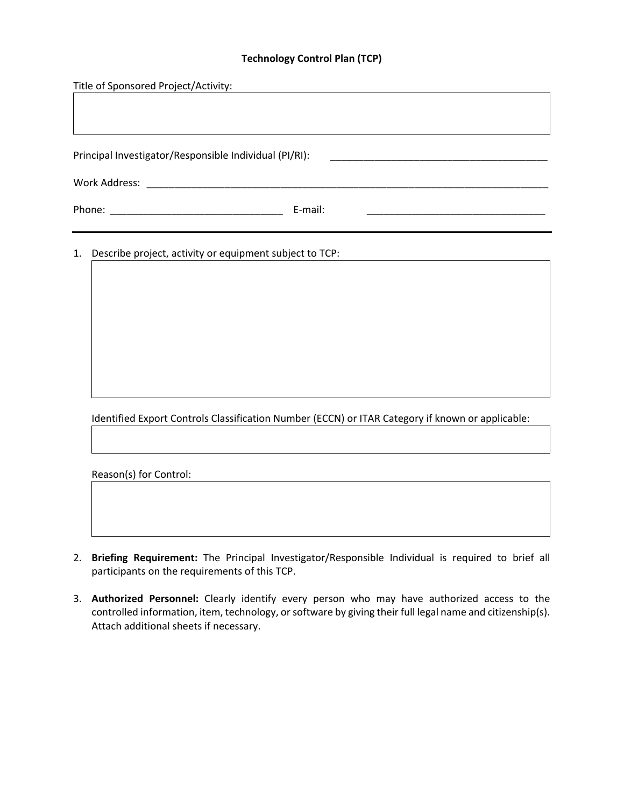# **Technology Control Plan (TCP)**

| Title of Sponsored Project/Activity:                                                             |
|--------------------------------------------------------------------------------------------------|
|                                                                                                  |
|                                                                                                  |
|                                                                                                  |
| Principal Investigator/Responsible Individual (PI/RI):                                           |
|                                                                                                  |
| E-mail:                                                                                          |
| 1. Describe project, activity or equipment subject to TCP:                                       |
| Identified Export Controls Classification Number (ECCN) or ITAR Category if known or applicable: |
|                                                                                                  |

Reason(s) for Control:

- 2. **Briefing Requirement:** The Principal Investigator/Responsible Individual is required to brief all participants on the requirements of this TCP.
- 3. **Authorized Personnel:** Clearly identify every person who may have authorized access to the controlled information, item, technology, or software by giving their full legal name and citizenship(s). Attach additional sheets if necessary.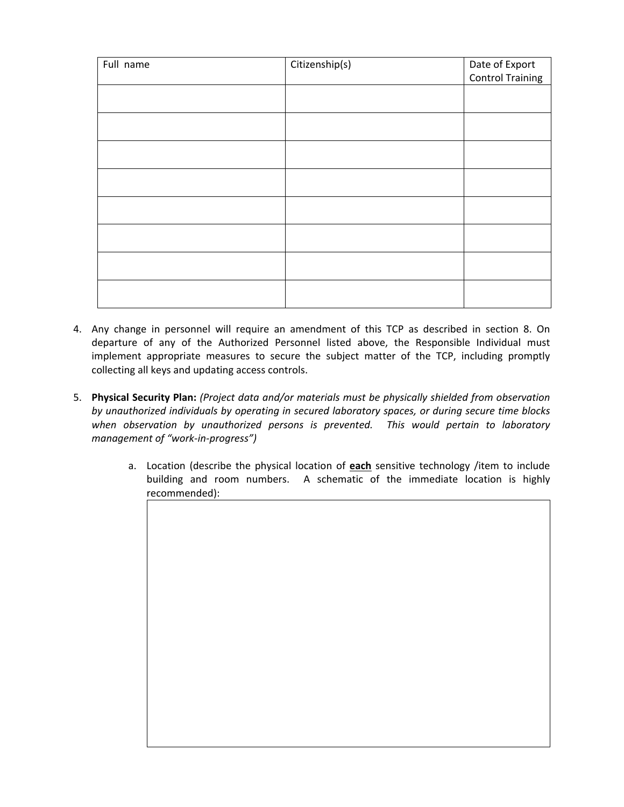| Full name | Citizenship(s) | Date of Export   |
|-----------|----------------|------------------|
|           |                | Control Training |
|           |                |                  |
|           |                |                  |
|           |                |                  |
|           |                |                  |
|           |                |                  |
|           |                |                  |
|           |                |                  |
|           |                |                  |
|           |                |                  |
|           |                |                  |
|           |                |                  |
|           |                |                  |
|           |                |                  |

- 4. Any change in personnel will require an amendment of this TCP as described in section 8. On departure of any of the Authorized Personnel listed above, the Responsible Individual must implement appropriate measures to secure the subject matter of the TCP, including promptly collecting all keys and updating access controls.
- 5. **Physical Security Plan:** *(Project data and/or materials must be physically shielded from observation by unauthorized individuals by operating in secured laboratory spaces, or during secure time blocks when observation by unauthorized persons is prevented. This would pertain to laboratory management of "work‐in‐progress")*
	- a. Location (describe the physical location of **each** sensitive technology /item to include building and room numbers. A schematic of the immediate location is highly recommended):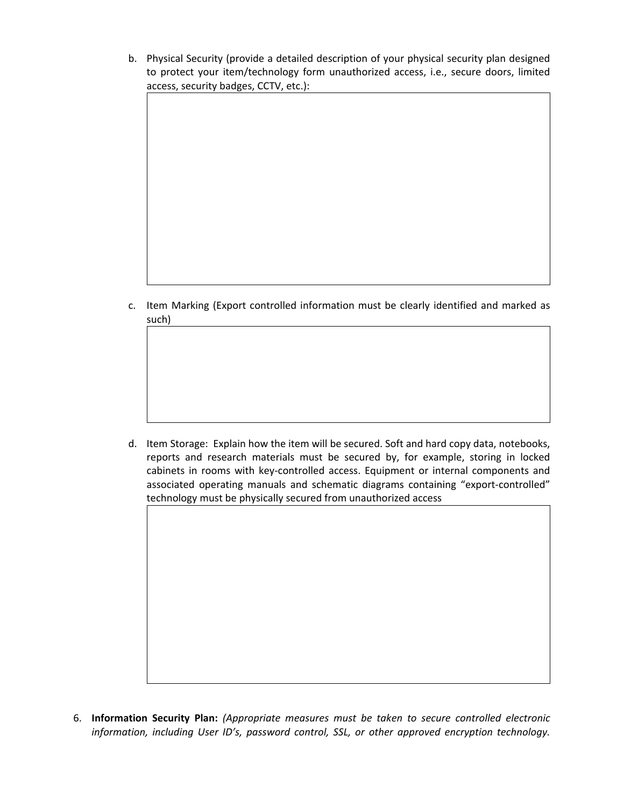b. Physical Security (provide a detailed description of your physical security plan designed to protect your item/technology form unauthorized access, i.e., secure doors, limited access, security badges, CCTV, etc.):

c. Item Marking (Export controlled information must be clearly identified and marked as such)

d. Item Storage: Explain how the item will be secured. Soft and hard copy data, notebooks, reports and research materials must be secured by, for example, storing in locked cabinets in rooms with key‐controlled access. Equipment or internal components and associated operating manuals and schematic diagrams containing "export‐controlled" technology must be physically secured from unauthorized access

6. **Information Security Plan:** *(Appropriate measures must be taken to secure controlled electronic information, including User ID's, password control, SSL, or other approved encryption technology.*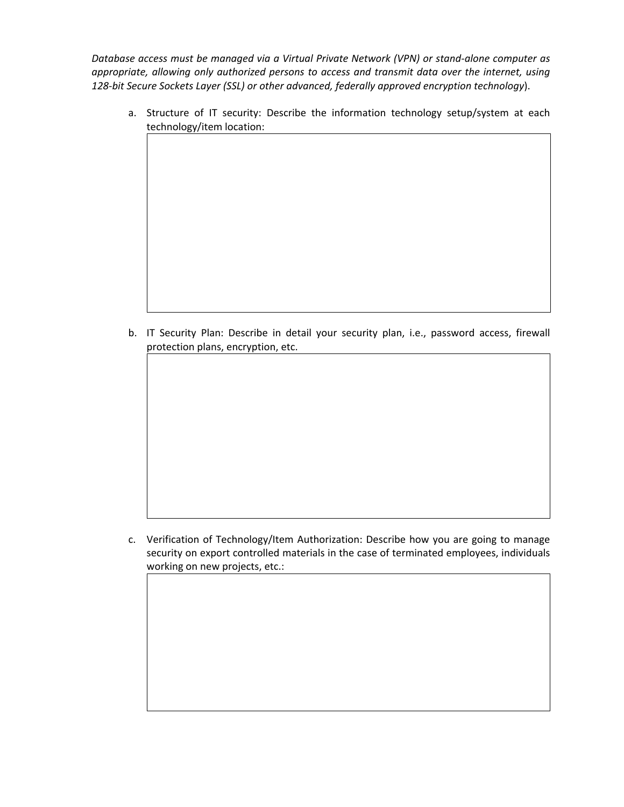*Database access must be managed via a Virtual Private Network (VPN) or stand‐alone computer as appropriate, allowing only authorized persons to access and transmit data over the internet, using 128‐bit Secure Sockets Layer (SSL) or other advanced, federally approved encryption technology*).

a. Structure of IT security: Describe the information technology setup/system at each technology/item location:

b. IT Security Plan: Describe in detail your security plan, i.e., password access, firewall protection plans, encryption, etc.

c. Verification of Technology/Item Authorization: Describe how you are going to manage security on export controlled materials in the case of terminated employees, individuals working on new projects, etc.: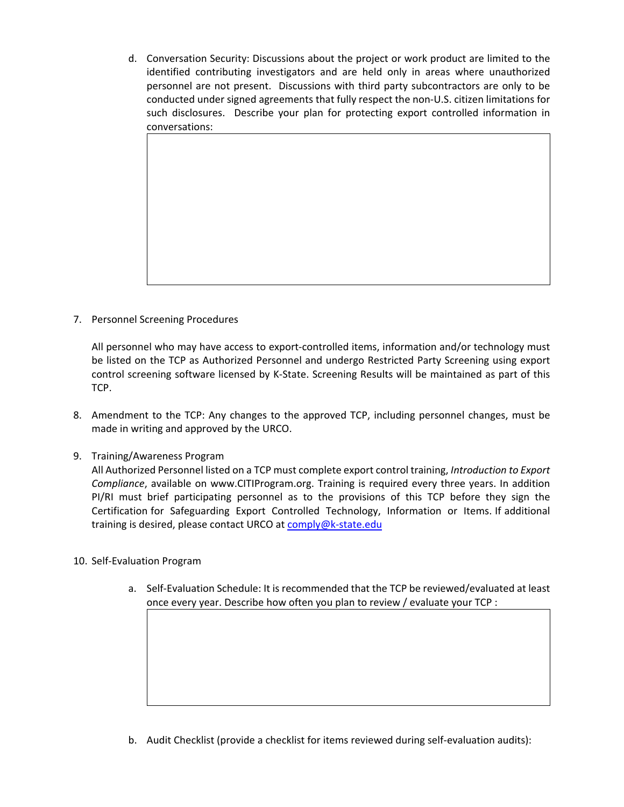d. Conversation Security: Discussions about the project or work product are limited to the identified contributing investigators and are held only in areas where unauthorized personnel are not present. Discussions with third party subcontractors are only to be conducted under signed agreements that fully respect the non‐U.S. citizen limitations for such disclosures. Describe your plan for protecting export controlled information in conversations:

7. Personnel Screening Procedures

All personnel who may have access to export-controlled items, information and/or technology must be listed on the TCP as Authorized Personnel and undergo Restricted Party Screening using export control screening software licensed by K‐State. Screening Results will be maintained as part of this TCP.

- 8. Amendment to the TCP: Any changes to the approved TCP, including personnel changes, must be made in writing and approved by the URCO.
- 9. Training/Awareness Program

All Authorized Personnel listed on a TCP must complete export control training, *Introduction to Export Compliance*, available on www.CITIProgram.org. Training is required every three years. In addition PI/RI must brief participating personnel as to the provisions of this TCP before they sign the Certification for Safeguarding Export Controlled Technology, Information or Items. If additional training is desired, please contact URCO at comply@k-state.edu

- 10. Self‐Evaluation Program
	- a. Self‐Evaluation Schedule: It is recommended that the TCP be reviewed/evaluated at least once every year. Describe how often you plan to review / evaluate your TCP :

b. Audit Checklist (provide a checklist for items reviewed during self‐evaluation audits):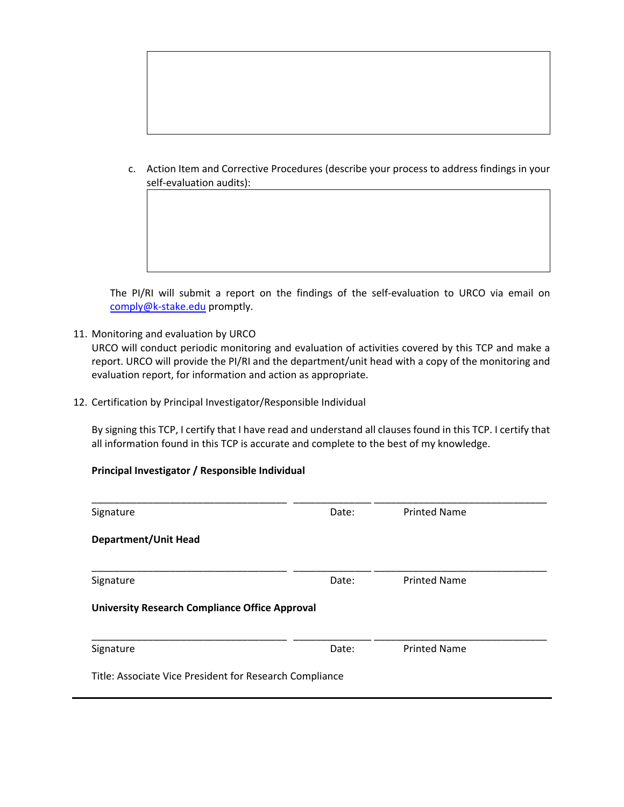c. Action Item and Corrective Procedures (describe your process to address findings in your self‐evaluation audits):

The PI/RI will submit a report on the findings of the self-evaluation to URCO via email on comply@k-stake.edu promptly.

11. Monitoring and evaluation by URCO

URCO will conduct periodic monitoring and evaluation of activities covered by this TCP and make a report. URCO will provide the PI/RI and the department/unit head with a copy of the monitoring and evaluation report, for information and action as appropriate.

12. Certification by Principal Investigator/Responsible Individual

By signing this TCP, I certify that I have read and understand all clauses found in this TCP. I certify that all information found in this TCP is accurate and complete to the best of my knowledge.

#### **Principal Investigator / Responsible Individual**

| Signature                                               | Date: | <b>Printed Name</b> |  |
|---------------------------------------------------------|-------|---------------------|--|
| <b>Department/Unit Head</b>                             |       |                     |  |
|                                                         |       |                     |  |
| Signature                                               | Date: | <b>Printed Name</b> |  |
| <b>University Research Compliance Office Approval</b>   |       |                     |  |
|                                                         |       |                     |  |
| Signature                                               | Date: | <b>Printed Name</b> |  |
| Title: Associate Vice President for Research Compliance |       |                     |  |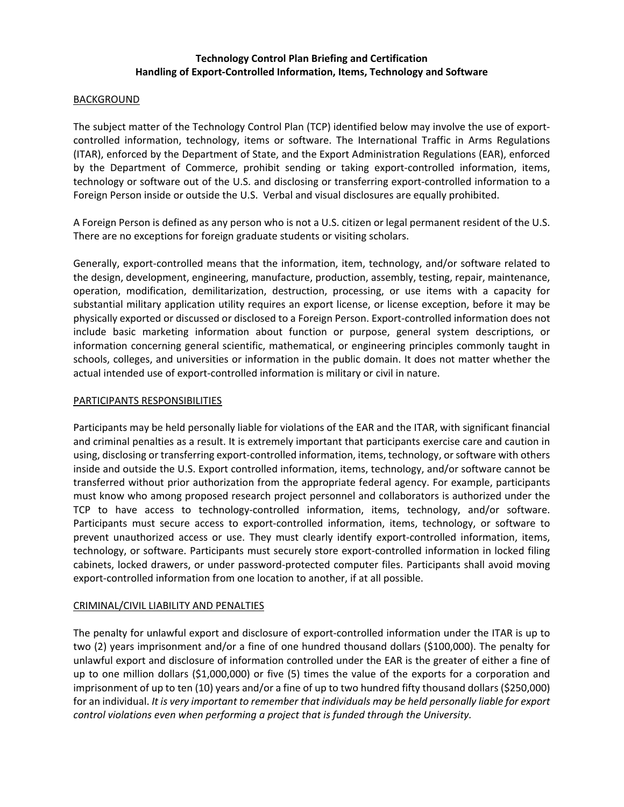## **Technology Control Plan Briefing and Certification Handling of Export‐Controlled Information, Items, Technology and Software**

#### BACKGROUND

The subject matter of the Technology Control Plan (TCP) identified below may involve the use of export‐ controlled information, technology, items or software. The International Traffic in Arms Regulations (ITAR), enforced by the Department of State, and the Export Administration Regulations (EAR), enforced by the Department of Commerce, prohibit sending or taking export-controlled information, items, technology or software out of the U.S. and disclosing or transferring export-controlled information to a Foreign Person inside or outside the U.S. Verbal and visual disclosures are equally prohibited.

A Foreign Person is defined as any person who is not a U.S. citizen or legal permanent resident of the U.S. There are no exceptions for foreign graduate students or visiting scholars.

Generally, export‐controlled means that the information, item, technology, and/or software related to the design, development, engineering, manufacture, production, assembly, testing, repair, maintenance, operation, modification, demilitarization, destruction, processing, or use items with a capacity for substantial military application utility requires an export license, or license exception, before it may be physically exported or discussed or disclosed to a Foreign Person. Export‐controlled information does not include basic marketing information about function or purpose, general system descriptions, or information concerning general scientific, mathematical, or engineering principles commonly taught in schools, colleges, and universities or information in the public domain. It does not matter whether the actual intended use of export‐controlled information is military or civil in nature.

### PARTICIPANTS RESPONSIBILITIES

Participants may be held personally liable for violations of the EAR and the ITAR, with significant financial and criminal penalties as a result. It is extremely important that participants exercise care and caution in using, disclosing or transferring export-controlled information, items, technology, or software with others inside and outside the U.S. Export controlled information, items, technology, and/or software cannot be transferred without prior authorization from the appropriate federal agency. For example, participants must know who among proposed research project personnel and collaborators is authorized under the TCP to have access to technology‐controlled information, items, technology, and/or software. Participants must secure access to export‐controlled information, items, technology, or software to prevent unauthorized access or use. They must clearly identify export-controlled information, items, technology, or software. Participants must securely store export‐controlled information in locked filing cabinets, locked drawers, or under password‐protected computer files. Participants shall avoid moving export-controlled information from one location to another, if at all possible.

#### CRIMINAL/CIVIL LIABILITY AND PENALTIES

The penalty for unlawful export and disclosure of export‐controlled information under the ITAR is up to two (2) years imprisonment and/or a fine of one hundred thousand dollars (\$100,000). The penalty for unlawful export and disclosure of information controlled under the EAR is the greater of either a fine of up to one million dollars (\$1,000,000) or five (5) times the value of the exports for a corporation and imprisonment of up to ten (10) years and/or a fine of up to two hundred fifty thousand dollars (\$250,000) for an individual. *It is very important to remember that individuals may be held personally liable for export control violations even when performing a project that is funded through the University.*